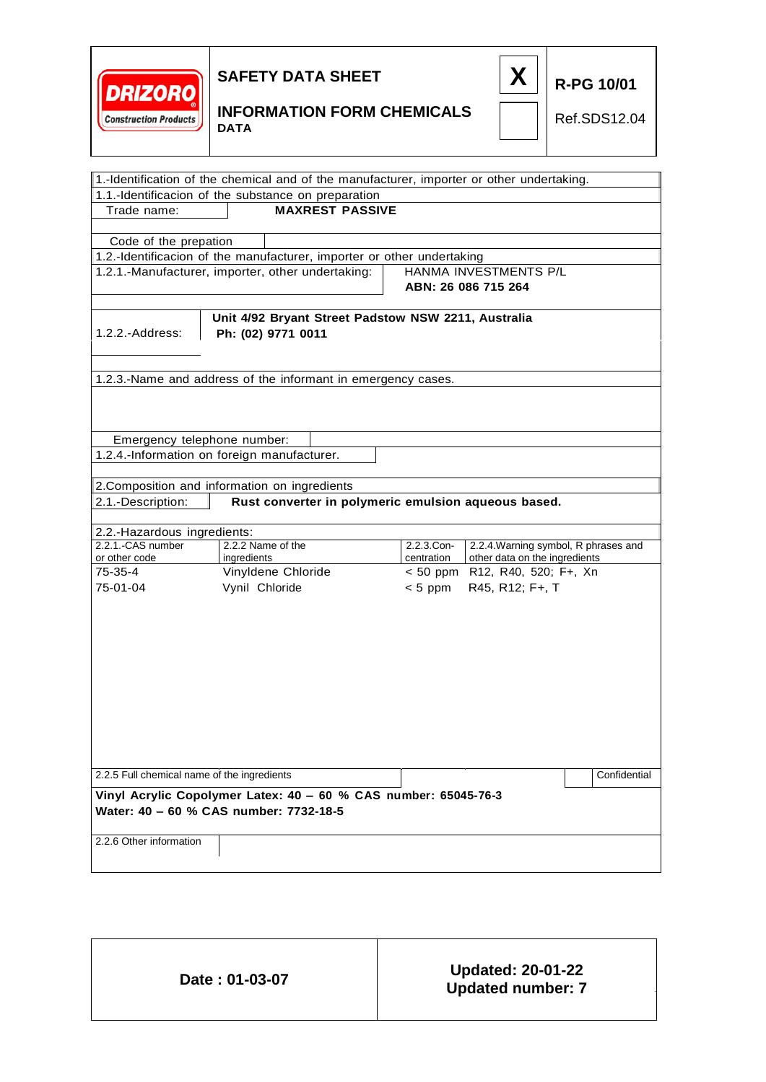



**R-PG 10/01**

### **INFORMATION FORM CHEMICALS DATA**

Ref.SDS12.04

| 1.-Identification of the chemical and of the manufacturer, importer or other undertaking. |                                                                          |  |            |                                                     |              |
|-------------------------------------------------------------------------------------------|--------------------------------------------------------------------------|--|------------|-----------------------------------------------------|--------------|
| 1.1.-Identificacion of the substance on preparation                                       |                                                                          |  |            |                                                     |              |
| <b>MAXREST PASSIVE</b><br>Trade name:                                                     |                                                                          |  |            |                                                     |              |
| Code of the prepation                                                                     |                                                                          |  |            |                                                     |              |
| 1.2.-Identificacion of the manufacturer, importer or other undertaking                    |                                                                          |  |            |                                                     |              |
|                                                                                           |                                                                          |  |            | HANMA INVESTMENTS P/L                               |              |
|                                                                                           | 1.2.1.-Manufacturer, importer, other undertaking:<br>ABN: 26 086 715 264 |  |            |                                                     |              |
|                                                                                           |                                                                          |  |            |                                                     |              |
|                                                                                           | Unit 4/92 Bryant Street Padstow NSW 2211, Australia                      |  |            |                                                     |              |
| 1.2.2.-Address:                                                                           | Ph: (02) 9771 0011                                                       |  |            |                                                     |              |
|                                                                                           |                                                                          |  |            |                                                     |              |
|                                                                                           |                                                                          |  |            |                                                     |              |
| 1.2.3.-Name and address of the informant in emergency cases.                              |                                                                          |  |            |                                                     |              |
|                                                                                           |                                                                          |  |            |                                                     |              |
|                                                                                           |                                                                          |  |            |                                                     |              |
|                                                                                           |                                                                          |  |            |                                                     |              |
| Emergency telephone number:                                                               |                                                                          |  |            |                                                     |              |
| 1.2.4.-Information on foreign manufacturer.                                               |                                                                          |  |            |                                                     |              |
|                                                                                           |                                                                          |  |            |                                                     |              |
| 2. Composition and information on ingredients                                             |                                                                          |  |            |                                                     |              |
| 2.1.-Description:                                                                         |                                                                          |  |            | Rust converter in polymeric emulsion aqueous based. |              |
| 2.2.-Hazardous ingredients:                                                               |                                                                          |  |            |                                                     |              |
| 2.2.1.-CAS number                                                                         | 2.2.2 Name of the                                                        |  | 2.2.3.Con- | 2.2.4. Warning symbol, R phrases and                |              |
| or other code                                                                             | ingredients                                                              |  | centration | other data on the ingredients                       |              |
| 75-35-4                                                                                   | Vinyldene Chloride                                                       |  | $< 50$ ppm | R12, R40, 520; F+, Xn                               |              |
| 75-01-04                                                                                  | Vynil Chloride                                                           |  | $< 5$ ppm  | R45, R12; F+, T                                     |              |
|                                                                                           |                                                                          |  |            |                                                     |              |
|                                                                                           |                                                                          |  |            |                                                     |              |
|                                                                                           |                                                                          |  |            |                                                     |              |
|                                                                                           |                                                                          |  |            |                                                     |              |
|                                                                                           |                                                                          |  |            |                                                     |              |
|                                                                                           |                                                                          |  |            |                                                     |              |
|                                                                                           |                                                                          |  |            |                                                     |              |
|                                                                                           |                                                                          |  |            |                                                     |              |
|                                                                                           |                                                                          |  |            |                                                     |              |
|                                                                                           |                                                                          |  |            |                                                     |              |
|                                                                                           |                                                                          |  |            |                                                     |              |
| 2.2.5 Full chemical name of the ingredients                                               |                                                                          |  |            |                                                     | Confidential |
| Vinyl Acrylic Copolymer Latex: 40 - 60 % CAS number: 65045-76-3                           |                                                                          |  |            |                                                     |              |
| Water: 40 - 60 % CAS number: 7732-18-5                                                    |                                                                          |  |            |                                                     |              |
|                                                                                           |                                                                          |  |            |                                                     |              |
| 2.2.6 Other information                                                                   |                                                                          |  |            |                                                     |              |
|                                                                                           |                                                                          |  |            |                                                     |              |

| Date: 01-03-07 | <b>Updated: 20-01-22</b> |
|----------------|--------------------------|
|                | <b>Updated number: 7</b> |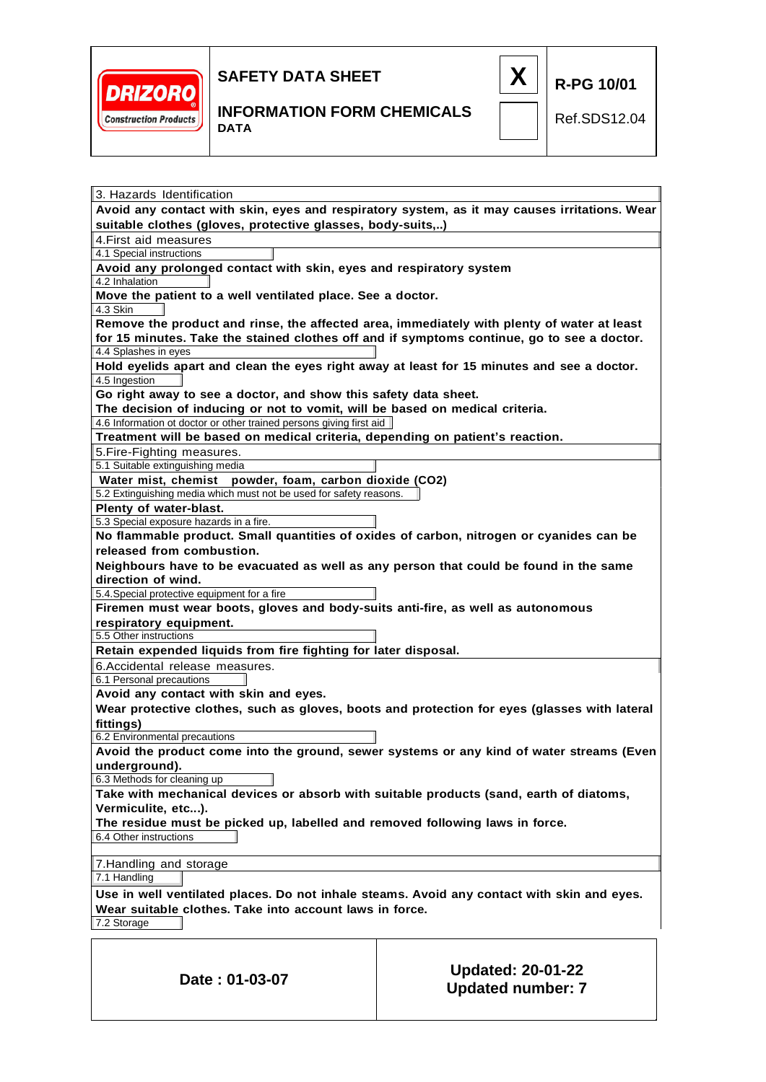



Ref.SDS12.04

**R-PG 10/01**

| 3. Hazards Identification                                                                                                                                                                |                                                      |  |  |  |  |  |
|------------------------------------------------------------------------------------------------------------------------------------------------------------------------------------------|------------------------------------------------------|--|--|--|--|--|
| Avoid any contact with skin, eyes and respiratory system, as it may causes irritations. Wear<br>suitable clothes (gloves, protective glasses, body-suits,)                               |                                                      |  |  |  |  |  |
| 4. First aid measures                                                                                                                                                                    |                                                      |  |  |  |  |  |
| 4.1 Special instructions                                                                                                                                                                 |                                                      |  |  |  |  |  |
| Avoid any prolonged contact with skin, eyes and respiratory system                                                                                                                       |                                                      |  |  |  |  |  |
| 4.2 Inhalation                                                                                                                                                                           |                                                      |  |  |  |  |  |
| Move the patient to a well ventilated place. See a doctor.<br>4.3 Skin                                                                                                                   |                                                      |  |  |  |  |  |
| Remove the product and rinse, the affected area, immediately with plenty of water at least<br>for 15 minutes. Take the stained clothes off and if symptoms continue, go to see a doctor. |                                                      |  |  |  |  |  |
| 4.4 Splashes in eyes<br>Hold eyelids apart and clean the eyes right away at least for 15 minutes and see a doctor.                                                                       |                                                      |  |  |  |  |  |
| 4.5 Ingestion                                                                                                                                                                            |                                                      |  |  |  |  |  |
| Go right away to see a doctor, and show this safety data sheet.                                                                                                                          |                                                      |  |  |  |  |  |
| The decision of inducing or not to vomit, will be based on medical criteria.                                                                                                             |                                                      |  |  |  |  |  |
| 4.6 Information ot doctor or other trained persons giving first aid                                                                                                                      |                                                      |  |  |  |  |  |
| Treatment will be based on medical criteria, depending on patient's reaction.                                                                                                            |                                                      |  |  |  |  |  |
| 5. Fire-Fighting measures.                                                                                                                                                               |                                                      |  |  |  |  |  |
| 5.1 Suitable extinguishing media                                                                                                                                                         |                                                      |  |  |  |  |  |
| Water mist, chemist powder, foam, carbon dioxide (CO2)                                                                                                                                   |                                                      |  |  |  |  |  |
| 5.2 Extinguishing media which must not be used for safety reasons.                                                                                                                       |                                                      |  |  |  |  |  |
| Plenty of water-blast.                                                                                                                                                                   |                                                      |  |  |  |  |  |
| 5.3 Special exposure hazards in a fire.                                                                                                                                                  |                                                      |  |  |  |  |  |
| No flammable product. Small quantities of oxides of carbon, nitrogen or cyanides can be                                                                                                  |                                                      |  |  |  |  |  |
| released from combustion.                                                                                                                                                                |                                                      |  |  |  |  |  |
| Neighbours have to be evacuated as well as any person that could be found in the same                                                                                                    |                                                      |  |  |  |  |  |
| direction of wind.                                                                                                                                                                       |                                                      |  |  |  |  |  |
| 5.4. Special protective equipment for a fire                                                                                                                                             |                                                      |  |  |  |  |  |
| Firemen must wear boots, gloves and body-suits anti-fire, as well as autonomous                                                                                                          |                                                      |  |  |  |  |  |
| respiratory equipment.                                                                                                                                                                   |                                                      |  |  |  |  |  |
| 5.5 Other instructions                                                                                                                                                                   |                                                      |  |  |  |  |  |
| Retain expended liquids from fire fighting for later disposal.                                                                                                                           |                                                      |  |  |  |  |  |
| 6. Accidental release measures.                                                                                                                                                          |                                                      |  |  |  |  |  |
| 6.1 Personal precautions                                                                                                                                                                 |                                                      |  |  |  |  |  |
| Avoid any contact with skin and eyes.                                                                                                                                                    |                                                      |  |  |  |  |  |
| Wear protective clothes, such as gloves, boots and protection for eyes (glasses with lateral                                                                                             |                                                      |  |  |  |  |  |
| fittings)                                                                                                                                                                                |                                                      |  |  |  |  |  |
| 6.2 Environmental precautions                                                                                                                                                            |                                                      |  |  |  |  |  |
| Avoid the product come into the ground, sewer systems or any kind of water streams (Even                                                                                                 |                                                      |  |  |  |  |  |
| underground).                                                                                                                                                                            |                                                      |  |  |  |  |  |
| 6.3 Methods for cleaning up                                                                                                                                                              |                                                      |  |  |  |  |  |
| Take with mechanical devices or absorb with suitable products (sand, earth of diatoms,                                                                                                   |                                                      |  |  |  |  |  |
| Vermiculite, etc).                                                                                                                                                                       |                                                      |  |  |  |  |  |
| The residue must be picked up, labelled and removed following laws in force.                                                                                                             |                                                      |  |  |  |  |  |
| 6.4 Other instructions                                                                                                                                                                   |                                                      |  |  |  |  |  |
| 7. Handling and storage                                                                                                                                                                  |                                                      |  |  |  |  |  |
| 7.1 Handling                                                                                                                                                                             |                                                      |  |  |  |  |  |
| Use in well ventilated places. Do not inhale steams. Avoid any contact with skin and eyes.                                                                                               |                                                      |  |  |  |  |  |
| Wear suitable clothes. Take into account laws in force.                                                                                                                                  |                                                      |  |  |  |  |  |
| 7.2 Storage                                                                                                                                                                              |                                                      |  |  |  |  |  |
|                                                                                                                                                                                          |                                                      |  |  |  |  |  |
|                                                                                                                                                                                          |                                                      |  |  |  |  |  |
| Date: 01-03-07                                                                                                                                                                           | <b>Updated: 20-01-22</b><br><b>Updated number: 7</b> |  |  |  |  |  |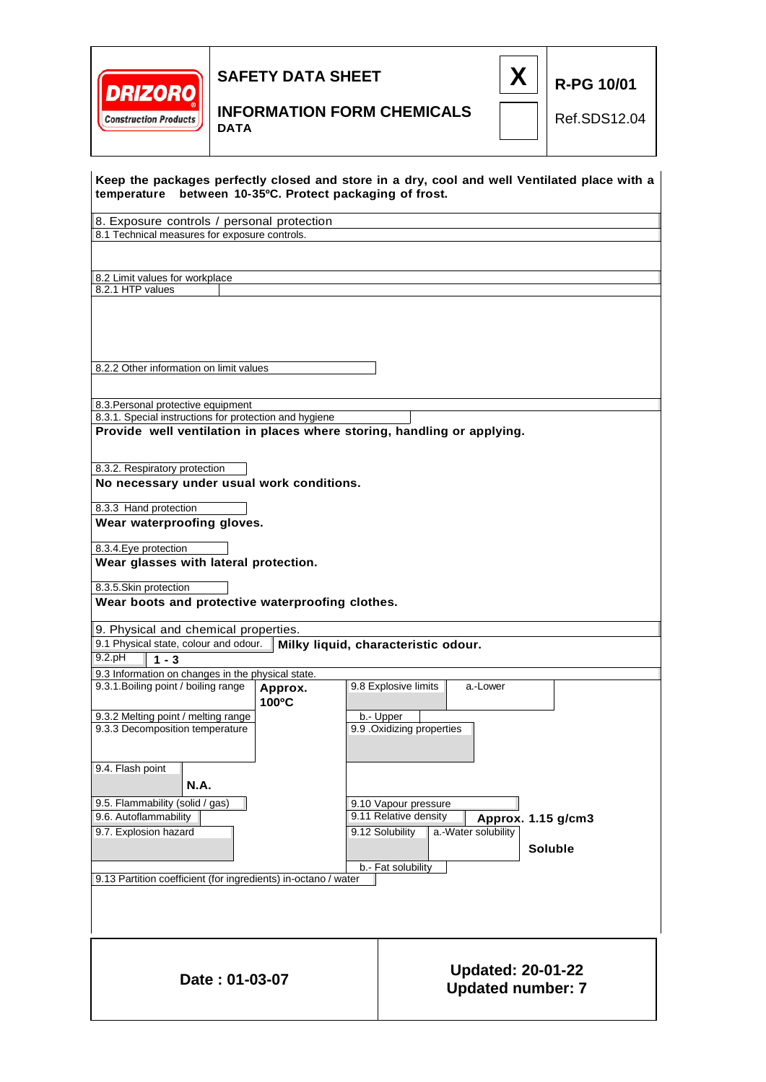



### **INFORMATION FORM CHEMICALS DATA**

Ref.SDS12.04

**R-PG 10/01**

|                                                                                                                                                                         |         | temperature between 10-35°C. Protect packaging of frost. |                                                      | Keep the packages perfectly closed and store in a dry, cool and well Ventilated place with a |
|-------------------------------------------------------------------------------------------------------------------------------------------------------------------------|---------|----------------------------------------------------------|------------------------------------------------------|----------------------------------------------------------------------------------------------|
| 8. Exposure controls / personal protection                                                                                                                              |         |                                                          |                                                      |                                                                                              |
| 8.1 Technical measures for exposure controls.                                                                                                                           |         |                                                          |                                                      |                                                                                              |
|                                                                                                                                                                         |         |                                                          |                                                      |                                                                                              |
| 8.2 Limit values for workplace                                                                                                                                          |         |                                                          |                                                      |                                                                                              |
| 8.2.1 HTP values                                                                                                                                                        |         |                                                          |                                                      |                                                                                              |
|                                                                                                                                                                         |         |                                                          |                                                      |                                                                                              |
| 8.2.2 Other information on limit values                                                                                                                                 |         |                                                          |                                                      |                                                                                              |
| 8.3. Personal protective equipment                                                                                                                                      |         |                                                          |                                                      |                                                                                              |
| 8.3.1. Special instructions for protection and hygiene<br>Provide well ventilation in places where storing, handling or applying.                                       |         |                                                          |                                                      |                                                                                              |
|                                                                                                                                                                         |         |                                                          |                                                      |                                                                                              |
| 8.3.2. Respiratory protection                                                                                                                                           |         |                                                          |                                                      |                                                                                              |
| No necessary under usual work conditions.                                                                                                                               |         |                                                          |                                                      |                                                                                              |
| 8.3.3 Hand protection                                                                                                                                                   |         |                                                          |                                                      |                                                                                              |
| Wear waterproofing gloves.                                                                                                                                              |         |                                                          |                                                      |                                                                                              |
| 8.3.4. Eye protection                                                                                                                                                   |         |                                                          |                                                      |                                                                                              |
| Wear glasses with lateral protection.                                                                                                                                   |         |                                                          |                                                      |                                                                                              |
| 8.3.5.Skin protection                                                                                                                                                   |         |                                                          |                                                      |                                                                                              |
| Wear boots and protective waterproofing clothes.                                                                                                                        |         |                                                          |                                                      |                                                                                              |
|                                                                                                                                                                         |         |                                                          |                                                      |                                                                                              |
| 9. Physical and chemical properties.                                                                                                                                    |         |                                                          |                                                      |                                                                                              |
| 9.1 Physical state, colour and odour.<br>$9.2.$ pH<br>$1 - 3$                                                                                                           |         | Milky liquid, characteristic odour.                      |                                                      |                                                                                              |
| 9.3 Information on changes in the physical state.                                                                                                                       |         |                                                          |                                                      |                                                                                              |
| 9.3.1. Boiling point / boiling range                                                                                                                                    | Approx. | 9.8 Explosive limits                                     | a.-Lower                                             |                                                                                              |
|                                                                                                                                                                         | 100°C   |                                                          |                                                      |                                                                                              |
| 9.3.2 Melting point / melting range                                                                                                                                     |         | b.- Upper                                                |                                                      |                                                                                              |
| 9.3.3 Decomposition temperature                                                                                                                                         |         | 9.9 . Oxidizing properties                               |                                                      |                                                                                              |
|                                                                                                                                                                         |         |                                                          |                                                      |                                                                                              |
|                                                                                                                                                                         |         |                                                          |                                                      |                                                                                              |
|                                                                                                                                                                         |         |                                                          |                                                      |                                                                                              |
| <b>N.A.</b>                                                                                                                                                             |         |                                                          |                                                      |                                                                                              |
|                                                                                                                                                                         |         | 9.10 Vapour pressure                                     |                                                      |                                                                                              |
|                                                                                                                                                                         |         | 9.11 Relative density                                    | Approx. 1.15 g/cm3                                   |                                                                                              |
|                                                                                                                                                                         |         | 9.12 Solubility                                          | a.-Water solubility                                  |                                                                                              |
|                                                                                                                                                                         |         |                                                          | Soluble                                              |                                                                                              |
|                                                                                                                                                                         |         | b.- Fat solubility                                       |                                                      |                                                                                              |
| 9.4. Flash point<br>9.5. Flammability (solid / gas)<br>9.6. Autoflammability<br>9.7. Explosion hazard<br>9.13 Partition coefficient (for ingredients) in-octano / water |         |                                                          |                                                      |                                                                                              |
|                                                                                                                                                                         |         |                                                          |                                                      |                                                                                              |
| Date: 01-03-07                                                                                                                                                          |         |                                                          | <b>Updated: 20-01-22</b><br><b>Updated number: 7</b> |                                                                                              |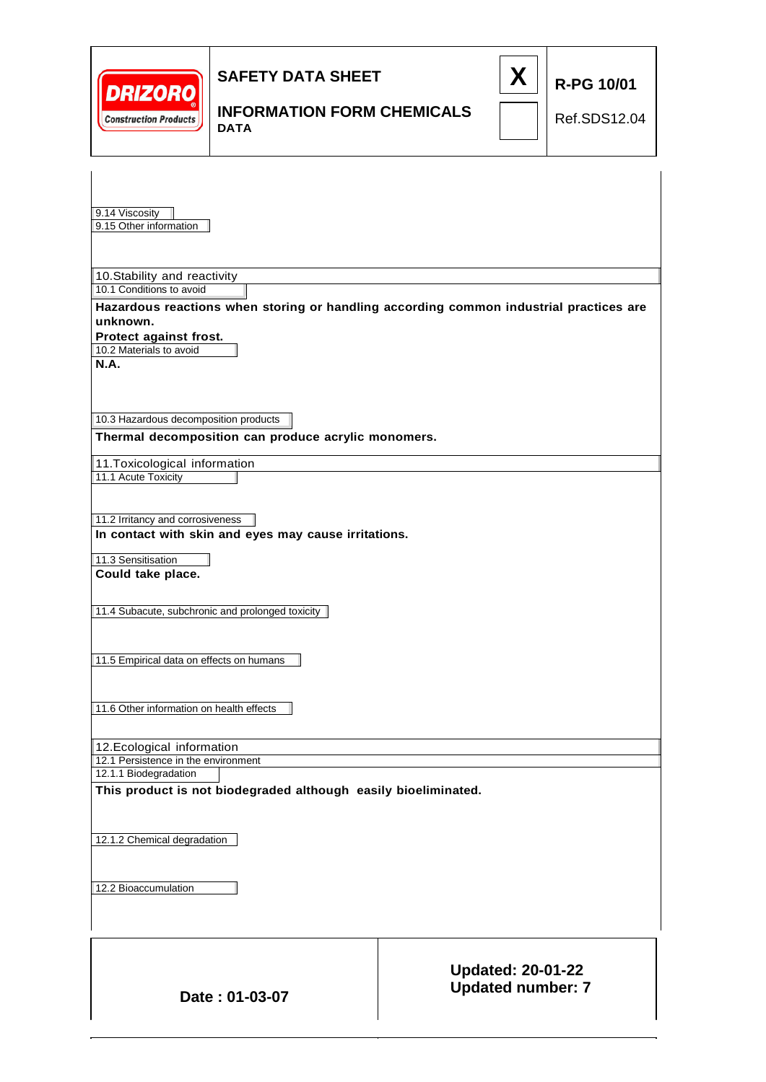| <b>DRIZORO</b><br><b>Construction Products</b>                                                                                                               | <b>SAFETY DATA SHEET</b><br><b>INFORMATION FORM CHEMICALS</b><br><b>DATA</b>                                           |  | X                                                    | <b>R-PG 10/01</b><br>Ref.SDS12.04 |  |  |
|--------------------------------------------------------------------------------------------------------------------------------------------------------------|------------------------------------------------------------------------------------------------------------------------|--|------------------------------------------------------|-----------------------------------|--|--|
| 9.14 Viscosity<br>9.15 Other information                                                                                                                     |                                                                                                                        |  |                                                      |                                   |  |  |
| 10.1 Conditions to avoid<br>unknown.<br>Protect against frost.                                                                                               | 10. Stability and reactivity<br>Hazardous reactions when storing or handling according common industrial practices are |  |                                                      |                                   |  |  |
| 10.2 Materials to avoid<br><b>N.A.</b>                                                                                                                       |                                                                                                                        |  |                                                      |                                   |  |  |
| 10.3 Hazardous decomposition products                                                                                                                        | Thermal decomposition can produce acrylic monomers.                                                                    |  |                                                      |                                   |  |  |
| 11. Toxicological information<br>11.1 Acute Toxicity                                                                                                         |                                                                                                                        |  |                                                      |                                   |  |  |
| 11.2 Irritancy and corrosiveness                                                                                                                             | In contact with skin and eyes may cause irritations.                                                                   |  |                                                      |                                   |  |  |
| 11.3 Sensitisation<br>Could take place.                                                                                                                      |                                                                                                                        |  |                                                      |                                   |  |  |
|                                                                                                                                                              | 11.4 Subacute, subchronic and prolonged toxicity                                                                       |  |                                                      |                                   |  |  |
| 11.5 Empirical data on effects on humans                                                                                                                     |                                                                                                                        |  |                                                      |                                   |  |  |
| 11.6 Other information on health effects                                                                                                                     |                                                                                                                        |  |                                                      |                                   |  |  |
| 12. Ecological information<br>12.1 Persistence in the environment<br>12.1.1 Biodegradation<br>This product is not biodegraded although easily bioeliminated. |                                                                                                                        |  |                                                      |                                   |  |  |
| 12.1.2 Chemical degradation                                                                                                                                  |                                                                                                                        |  |                                                      |                                   |  |  |
| 12.2 Bioaccumulation                                                                                                                                         |                                                                                                                        |  |                                                      |                                   |  |  |
|                                                                                                                                                              |                                                                                                                        |  |                                                      |                                   |  |  |
|                                                                                                                                                              | Date: 01-03-07                                                                                                         |  | <b>Updated: 20-01-22</b><br><b>Updated number: 7</b> |                                   |  |  |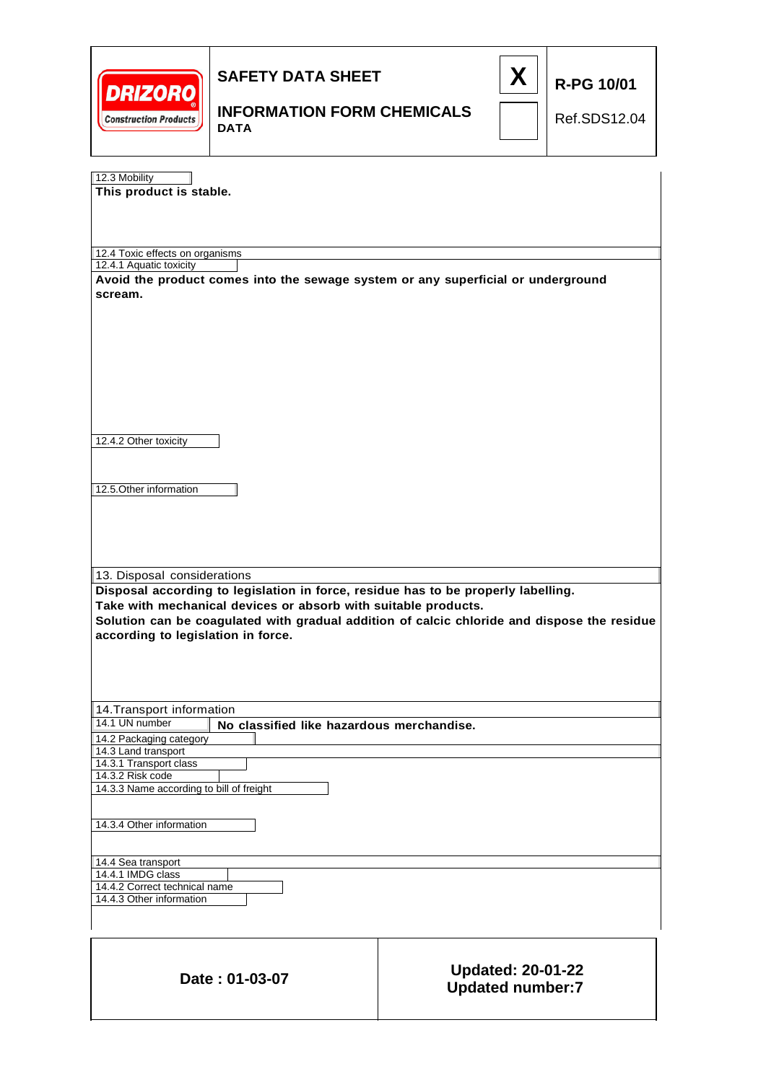| <b>DRIZORO</b><br><b>Construction Products</b>                                                                                                                                                                                                                                                                          | <b>SAFETY DATA SHEET</b><br><b>INFORMATION FORM CHEMICALS</b><br><b>DATA</b>     |                                                     | X | <b>R-PG 10/01</b><br>Ref.SDS12.04 |
|-------------------------------------------------------------------------------------------------------------------------------------------------------------------------------------------------------------------------------------------------------------------------------------------------------------------------|----------------------------------------------------------------------------------|-----------------------------------------------------|---|-----------------------------------|
| 12.3 Mobility<br>This product is stable.                                                                                                                                                                                                                                                                                |                                                                                  |                                                     |   |                                   |
| 12.4 Toxic effects on organisms<br>12.4.1 Aquatic toxicity<br>scream.                                                                                                                                                                                                                                                   | Avoid the product comes into the sewage system or any superficial or underground |                                                     |   |                                   |
| 12.4.2 Other toxicity<br>12.5. Other information                                                                                                                                                                                                                                                                        |                                                                                  |                                                     |   |                                   |
| 13. Disposal considerations<br>Disposal according to legislation in force, residue has to be properly labelling.<br>Take with mechanical devices or absorb with suitable products.<br>Solution can be coagulated with gradual addition of calcic chloride and dispose the residue<br>according to legislation in force. |                                                                                  |                                                     |   |                                   |
| 14. Transport information<br>14.1 UN number<br>No classified like hazardous merchandise.<br>14.2 Packaging category<br>14.3 Land transport<br>14.3.1 Transport class<br>14.3.2 Risk code<br>14.3.3 Name according to bill of freight                                                                                    |                                                                                  |                                                     |   |                                   |
| 14.3.4 Other information<br>14.4 Sea transport<br>14.4.1 IMDG class<br>14.4.2 Correct technical name<br>14.4.3 Other information                                                                                                                                                                                        |                                                                                  |                                                     |   |                                   |
|                                                                                                                                                                                                                                                                                                                         | Date: 01-03-07                                                                   | <b>Updated: 20-01-22</b><br><b>Updated number:7</b> |   |                                   |